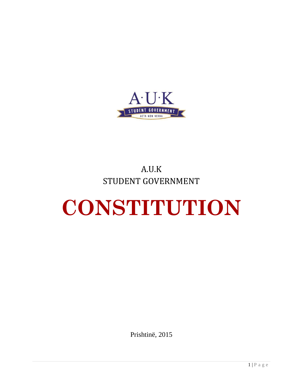

# A.U.K STUDENT GOVERNMENT

# **CONSTITUTION**

Prishtinë, 2015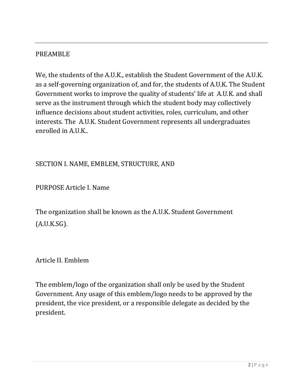#### PREAMBLE

We, the students of the A.U.K., establish the Student Government of the A.U.K. as a self-governing organization of, and for, the students of A.U.K. The Student Government works to improve the quality of students' life at A.U.K. and shall serve as the instrument through which the student body may collectively influence decisions about student activities, roles, curriculum, and other interests. The A.U.K. Student Government represents all undergraduates enrolled in A.U.K..

#### SECTION I. NAME, EMBLEM, STRUCTURE, AND

PURPOSE Article I. Name

The organization shall be known as the A.U.K. Student Government (A.U.K.SG).

Article II. Emblem

The emblem/logo of the organization shall only be used by the Student Government. Any usage of this emblem/logo needs to be approved by the president, the vice president, or a responsible delegate as decided by the president.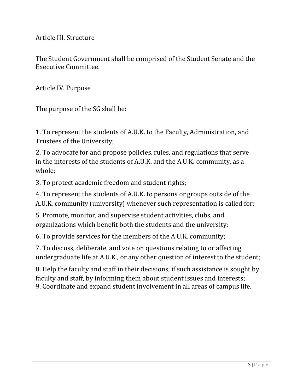Article III. Structure

The Student Government shall be comprised of the Student Senate and the Executive Committee.

Article IV. Purpose

The purpose of the SG shall be:

1. To represent the students of A.U.K. to the Faculty, Administration, and Trustees of the University;

2. To advocate for and propose policies, rules, and regulations that serve in the interests of the students of A.U.K. and the A.U.K. community, as a whole;

3. To protect academic freedom and student rights;

4. To represent the students of A.U.K. to persons or groups outside of the A.U.K. community (university) whenever such representation is called for;

5. Promote, monitor, and supervise student activities, clubs, and organizations which benefit both the students and the university;

6. To provide services for the members of the A.U.K. community;

7. To discuss, deliberate, and vote on questions relating to or affecting undergraduate life at A.U.K., or any other question of interest to the student;

8. Help the faculty and staff in their decisions, if such assistance is sought by faculty and staff, by informing them about student issues and interests; 9. Coordinate and expand student involvement in all areas of campus life.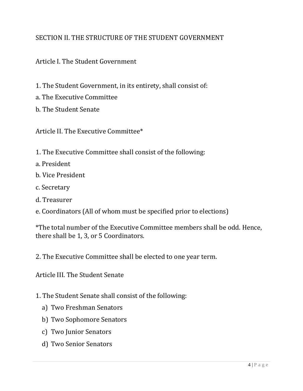# SECTION II. THE STRUCTURE OF THE STUDENT GOVERNMENT

#### Article I. The Student Government

- 1. The Student Government, in its entirety, shall consist of:
- a. The Executive Committee
- b. The Student Senate

Article II. The Executive Committee\*

- 1. The Executive Committee shall consist of the following:
- a. President
- b. Vice President
- c. Secretary
- d. Treasurer
- e. Coordinators (All of whom must be specified prior to elections)

\*The total number of the Executive Committee members shall be odd. Hence, there shall be 1, 3, or 5 Coordinators.

2. The Executive Committee shall be elected to one year term.

Article III. The Student Senate

- 1. The Student Senate shall consist of the following:
	- a) Two Freshman Senators
	- b) Two Sophomore Senators
	- c) Two Junior Senators
	- d) Two Senior Senators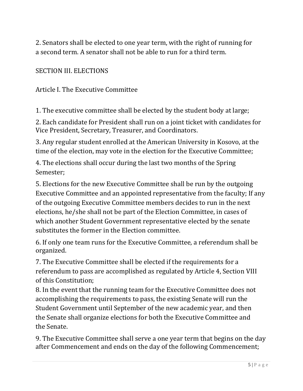2. Senators shall be elected to one year term, with the right of running for a second term. A senator shall not be able to run for a third term.

SECTION III. ELECTIONS

Article I. The Executive Committee

1. The executive committee shall be elected by the student body at large;

2. Each candidate for President shall run on a joint ticket with candidates for Vice President, Secretary, Treasurer, and Coordinators.

3. Any regular student enrolled at the American University in Kosovo, at the time of the election, may vote in the election for the Executive Committee;

4. The elections shall occur during the last two months of the Spring Semester;

5. Elections for the new Executive Committee shall be run by the outgoing Executive Committee and an appointed representative from the faculty; If any of the outgoing Executive Committee members decides to run in the next elections, he/she shall not be part of the Election Committee, in cases of which another Student Government representative elected by the senate substitutes the former in the Election committee.

6. If only one team runs for the Executive Committee, a referendum shall be organized.

7. The Executive Committee shall be elected if the requirements for a referendum to pass are accomplished as regulated by Article 4, Section VIII of this Constitution;

8. In the event that the running team for the Executive Committee does not accomplishing the requirements to pass, the existing Senate will run the Student Government until September of the new academic year, and then the Senate shall organize elections for both the Executive Committee and the Senate.

9. The Executive Committee shall serve a one year term that begins on the day after Commencement and ends on the day of the following Commencement;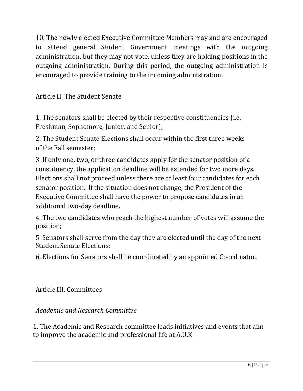10. The newly elected Executive Committee Members may and are encouraged to attend general Student Government meetings with the outgoing administration, but they may not vote, unless they are holding positions in the outgoing administration. During this period, the outgoing administration is encouraged to provide training to the incoming administration.

Article II. The Student Senate

1. The senators shall be elected by their respective constituencies (i.e. Freshman, Sophomore, Junior, and Senior);

2. The Student Senate Elections shall occur within the first three weeks of the Fall semester;

3. If only one, two, or three candidates apply for the senator position of a constituency, the application deadline will be extended for two more days. Elections shall not proceed unless there are at least four candidates for each senator position. If the situation does not change, the President of the Executive Committee shall have the power to propose candidates in an additional two-day deadline.

4. The two candidates who reach the highest number of votes will assume the position;

5. Senators shall serve from the day they are elected until the day of the next Student Senate Elections;

6. Elections for Senators shall be coordinated by an appointed Coordinator.

Article III. Committees

*Academic and Research Committee*

1. The Academic and Research committee leads initiatives and events that aim to improve the academic and professional life at A.U.K.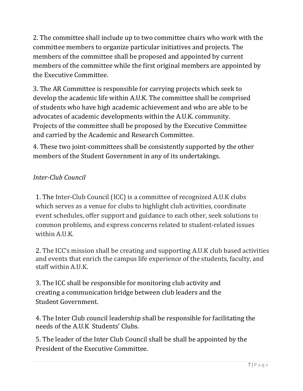2. The committee shall include up to two committee chairs who work with the committee members to organize particular initiatives and projects. The members of the committee shall be proposed and appointed by current members of the committee while the first original members are appointed by the Executive Committee.

3. The AR Committee is responsible for carrying projects which seek to develop the academic life within A.U.K. The committee shall be comprised of students who have high academic achievement and who are able to be advocates of academic developments within the A.U.K. community. Projects of the committee shall be proposed by the Executive Committee and carried by the Academic and Research Committee.

4. These two joint-committees shall be consistently supported by the other members of the Student Government in any of its undertakings.

# *Inter-Club Council*

1. The Inter-Club Council (ICC) is a committee of recognized A.U.K clubs which serves as a venue for clubs to highlight club activities, coordinate event schedules, offer support and guidance to each other, seek solutions to common problems, and express concerns related to student-related issues within A.U.K.

2. The ICC's mission shall be creating and supporting A.U.K club based activities and events that enrich the campus life experience of the students, faculty, and staff within A.U.K.

3. The ICC shall be responsible for monitoring club activity and creating a communication bridge between club leaders and the Student Government.

4. The Inter Club council leadership shall be responsible for facilitating the needs of the A.U.K Students' Clubs.

5. The leader of the Inter Club Council shall be shall be appointed by the President of the Executive Committee.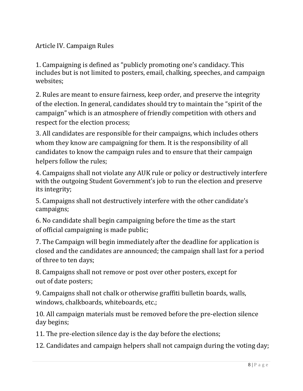Article IV. Campaign Rules

1. Campaigning is defined as "publicly promoting one's candidacy. This includes but is not limited to posters, email, chalking, speeches, and campaign websites;

2. Rules are meant to ensure fairness, keep order, and preserve the integrity of the election. In general, candidates should try to maintain the "spirit of the campaign" which is an atmosphere of friendly competition with others and respect for the election process;

3. All candidates are responsible for their campaigns, which includes others whom they know are campaigning for them. It is the responsibility of all candidates to know the campaign rules and to ensure that their campaign helpers follow the rules;

4. Campaigns shall not violate any AUK rule or policy or destructively interfere with the outgoing Student Government's job to run the election and preserve its integrity;

5. Campaigns shall not destructively interfere with the other candidate's campaigns;

6. No candidate shall begin campaigning before the time as the start of official campaigning is made public;

7. The Campaign will begin immediately after the deadline for application is closed and the candidates are announced; the campaign shall last for a period of three to ten days;

8. Campaigns shall not remove or post over other posters, except for out of date posters;

9. Campaigns shall not chalk or otherwise graffiti bulletin boards, walls, windows, chalkboards, whiteboards, etc.;

10. All campaign materials must be removed before the pre-election silence day begins;

11. The pre-election silence day is the day before the elections;

12. Candidates and campaign helpers shall not campaign during the voting day;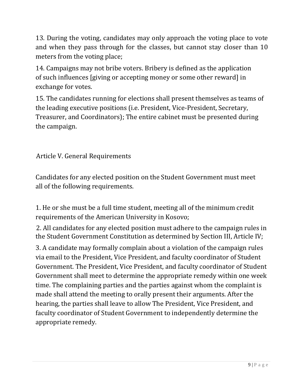13. During the voting, candidates may only approach the voting place to vote and when they pass through for the classes, but cannot stay closer than 10 meters from the voting place;

14. Campaigns may not bribe voters. Bribery is defined as the application of such influences [giving or accepting money or some other reward] in exchange for votes.

15. The candidates running for elections shall present themselves as teams of the leading executive positions (i.e. President, Vice-President, Secretary, Treasurer, and Coordinators); The entire cabinet must be presented during the campaign.

Article V. General Requirements

Candidates for any elected position on the Student Government must meet all of the following requirements.

1. He or she must be a full time student, meeting all of the minimum credit requirements of the American University in Kosovo;

2. All candidates for any elected position must adhere to the campaign rules in the Student Government Constitution as determined by Section III, Article IV;

3. A candidate may formally complain about a violation of the campaign rules via email to the President, Vice President, and faculty coordinator of Student Government. The President, Vice President, and faculty coordinator of Student Government shall meet to determine the appropriate remedy within one week time. The complaining parties and the parties against whom the complaint is made shall attend the meeting to orally present their arguments. After the hearing, the parties shall leave to allow The President, Vice President, and faculty coordinator of Student Government to independently determine the appropriate remedy.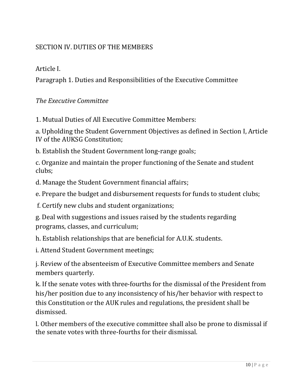# SECTION IV. DUTIES OF THE MEMBERS

Article I.

Paragraph 1. Duties and Responsibilities of the Executive Committee

*The Executive Committee*

1. Mutual Duties of All Executive Committee Members:

a. Upholding the Student Government Objectives as defined in Section I, Article IV of the AUKSG Constitution;

b. Establish the Student Government long-range goals;

c. Organize and maintain the proper functioning of the Senate and student clubs;

d. Manage the Student Government financial affairs;

e. Prepare the budget and disbursement requests for funds to student clubs;

f. Certify new clubs and student organizations;

g. Deal with suggestions and issues raised by the students regarding programs, classes, and curriculum;

h. Establish relationships that are beneficial for A.U.K. students.

i. Attend Student Government meetings;

j. Review of the absenteeism of Executive Committee members and Senate members quarterly.

k. If the senate votes with three-fourths for the dismissal of the President from his/her position due to any inconsistency of his/her behavior with respect to this Constitution or the AUK rules and regulations, the president shall be dismissed.

l. Other members of the executive committee shall also be prone to dismissal if the senate votes with three-fourths for their dismissal.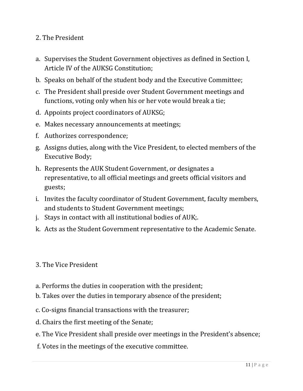#### 2. The President

- a. Supervises the Student Government objectives as defined in Section I, Article IV of the AUKSG Constitution;
- b. Speaks on behalf of the student body and the Executive Committee;
- c. The President shall preside over Student Government meetings and functions, voting only when his or her vote would break a tie;
- d. Appoints project coordinators of AUKSG;
- e. Makes necessary announcements at meetings;
- f. Authorizes correspondence;
- g. Assigns duties, along with the Vice President, to elected members of the Executive Body;
- h. Represents the AUK Student Government, or designates a representative, to all official meetings and greets official visitors and guests;
- i. Invites the faculty coordinator of Student Government, faculty members, and students to Student Government meetings;
- j. Stays in contact with all institutional bodies of AUK;.
- k. Acts as the Student Government representative to the Academic Senate.

#### 3. The Vice President

- a. Performs the duties in cooperation with the president;
- b. Takes over the duties in temporary absence of the president;
- c. Co-signs financial transactions with the treasurer;
- d. Chairs the first meeting of the Senate;
- e. The Vice President shall preside over meetings in the President's absence;
- f. Votes in the meetings of the executive committee.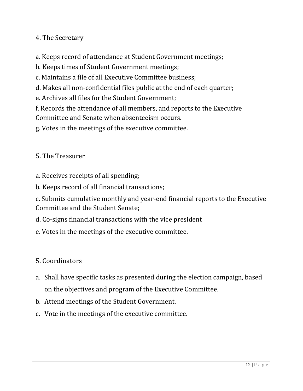4. The Secretary

a. Keeps record of attendance at Student Government meetings;

b. Keeps times of Student Government meetings;

c. Maintains a file of all Executive Committee business;

d. Makes all non-confidential files public at the end of each quarter;

e. Archives all files for the Student Government;

f. Records the attendance of all members, and reports to the Executive Committee and Senate when absenteeism occurs.

g. Votes in the meetings of the executive committee.

5. The Treasurer

a. Receives receipts of all spending;

b. Keeps record of all financial transactions;

c. Submits cumulative monthly and year-end financial reports to the Executive Committee and the Student Senate;

d. Co-signs financial transactions with the vice president

e. Votes in the meetings of the executive committee.

5. Coordinators

- a. Shall have specific tasks as presented during the election campaign, based on the objectives and program of the Executive Committee.
- b. Attend meetings of the Student Government.
- c. Vote in the meetings of the executive committee.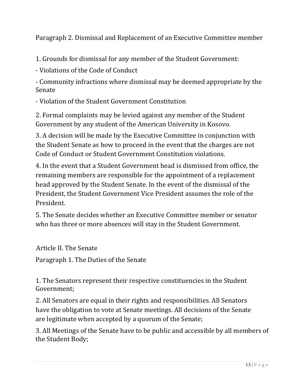Paragraph 2. Dismissal and Replacement of an Executive Committee member

1. Grounds for dismissal for any member of the Student Government:

- Violations of the Code of Conduct

- Community infractions where dismissal may be deemed appropriate by the Senate

- Violation of the Student Government Constitution

2. Formal complaints may be levied against any member of the Student Government by any student of the American University in Kosovo.

3. A decision will be made by the Executive Committee in conjunction with the Student Senate as how to proceed in the event that the charges are not Code of Conduct or Student Government Constitution violations.

4. In the event that a Student Government head is dismissed from office, the remaining members are responsible for the appointment of a replacement head approved by the Student Senate. In the event of the dismissal of the President, the Student Government Vice President assumes the role of the President.

5. The Senate decides whether an Executive Committee member or senator who has three or more absences will stay in the Student Government.

Article II. The Senate

Paragraph 1. The Duties of the Senate

1. The Senators represent their respective constituencies in the Student Government;

2. All Senators are equal in their rights and responsibilities. All Senators have the obligation to vote at Senate meetings. All decisions of the Senate are legitimate when accepted by a quorum of the Senate;

3. All Meetings of the Senate have to be public and accessible by all members of the Student Body;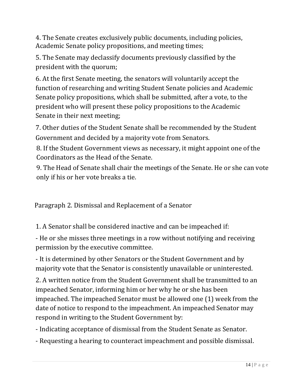4. The Senate creates exclusively public documents, including policies, Academic Senate policy propositions, and meeting times;

5. The Senate may declassify documents previously classified by the president with the quorum;

6. At the first Senate meeting, the senators will voluntarily accept the function of researching and writing Student Senate policies and Academic Senate policy propositions, which shall be submitted, after a vote, to the president who will present these policy propositions to the Academic Senate in their next meeting;

7. Other duties of the Student Senate shall be recommended by the Student Government and decided by a majority vote from Senators.

8. If the Student Government views as necessary, it might appoint one of the Coordinators as the Head of the Senate.

9. The Head of Senate shall chair the meetings of the Senate. He or she can vote only if his or her vote breaks a tie.

Paragraph 2. Dismissal and Replacement of a Senator

1. A Senator shall be considered inactive and can be impeached if:

- He or she misses three meetings in a row without notifying and receiving permission by the executive committee.

- It is determined by other Senators or the Student Government and by majority vote that the Senator is consistently unavailable or uninterested.

2. A written notice from the Student Government shall be transmitted to an impeached Senator, informing him or her why he or she has been impeached. The impeached Senator must be allowed one (1) week from the date of notice to respond to the impeachment. An impeached Senator may respond in writing to the Student Government by:

- Indicating acceptance of dismissal from the Student Senate as Senator.

- Requesting a hearing to counteract impeachment and possible dismissal.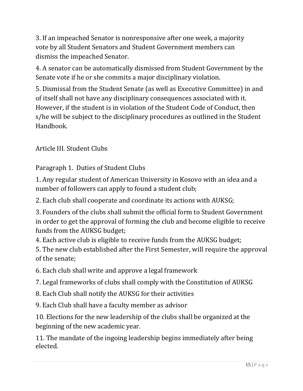3. If an impeached Senator is nonresponsive after one week, a majority vote by all Student Senators and Student Government members can dismiss the impeached Senator.

4. A senator can be automatically dismissed from Student Government by the Senate vote if he or she commits a major disciplinary violation.

5. Dismissal from the Student Senate (as well as Executive Committee) in and of itself shall not have any disciplinary consequences associated with it. However, if the student is in violation of the Student Code of Conduct, then s/he will be subject to the disciplinary procedures as outlined in the Student Handbook.

Article III. Student Clubs

Paragraph 1. Duties of Student Clubs

1. Any regular student of American University in Kosovo with an idea and a number of followers can apply to found a student club;

2. Each club shall cooperate and coordinate its actions with AUKSG;

3. Founders of the clubs shall submit the official form to Student Government in order to get the approval of forming the club and become eligible to receive funds from the AUKSG budget;

4. Each active club is eligible to receive funds from the AUKSG budget;

5. The new club established after the First Semester, will require the approval of the senate;

6. Each club shall write and approve a legal framework

7. Legal frameworks of clubs shall comply with the Constitution of AUKSG

8. Each Club shall notify the AUKSG for their activities

9. Each Club shall have a faculty member as advisor

10. Elections for the new leadership of the clubs shall be organized at the beginning of the new academic year.

11. The mandate of the ingoing leadership begins immediately after being elected.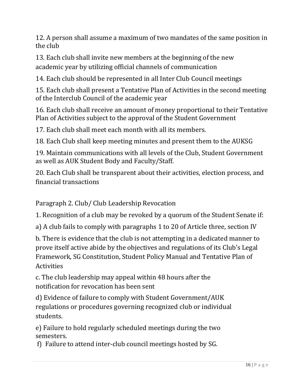12. A person shall assume a maximum of two mandates of the same position in the club

13. Each club shall invite new members at the beginning of the new academic year by utilizing official channels of communication

14. Each club should be represented in all Inter Club Council meetings

15. Each club shall present a Tentative Plan of Activities in the second meeting of the Interclub Council of the academic year

16. Each club shall receive an amount of money proportional to their Tentative Plan of Activities subject to the approval of the Student Government

17. Each club shall meet each month with all its members.

18. Each Club shall keep meeting minutes and present them to the AUKSG

19. Maintain communications with all levels of the Club, Student Government as well as AUK Student Body and Faculty/Staff.

20. Each Club shall be transparent about their activities, election process, and financial transactions

Paragraph 2. Club/ Club Leadership Revocation

1. Recognition of a club may be revoked by a quorum of the Student Senate if:

a) A club fails to comply with paragraphs 1 to 20 of Article three, section IV

b. There is evidence that the club is not attempting in a dedicated manner to prove itself active abide by the objectives and regulations of its Club's Legal Framework, SG Constitution, Student Policy Manual and Tentative Plan of Activities

c. The club leadership may appeal within 48 hours after the notification for revocation has been sent

d) Evidence of failure to comply with Student Government/AUK regulations or procedures governing recognized club or individual students.

e) Failure to hold regularly scheduled meetings during the two semesters.

f) Failure to attend inter-club council meetings hosted by SG.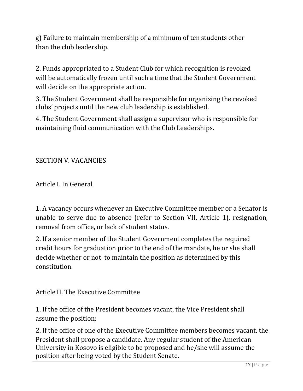g) Failure to maintain membership of a minimum of ten students other than the club leadership.

2. Funds appropriated to a Student Club for which recognition is revoked will be automatically frozen until such a time that the Student Government will decide on the appropriate action.

3. The Student Government shall be responsible for organizing the revoked clubs' projects until the new club leadership is established.

4. The Student Government shall assign a supervisor who is responsible for maintaining fluid communication with the Club Leaderships.

SECTION V. VACANCIES

Article I. In General

1. A vacancy occurs whenever an Executive Committee member or a Senator is unable to serve due to absence (refer to Section VII, Article 1), resignation, removal from office, or lack of student status.

2. If a senior member of the Student Government completes the required credit hours for graduation prior to the end of the mandate, he or she shall decide whether or not to maintain the position as determined by this constitution.

Article II. The Executive Committee

1. If the office of the President becomes vacant, the Vice President shall assume the position;

2. If the office of one of the Executive Committee members becomes vacant, the President shall propose a candidate. Any regular student of the American University in Kosovo is eligible to be proposed and he/she will assume the position after being voted by the Student Senate.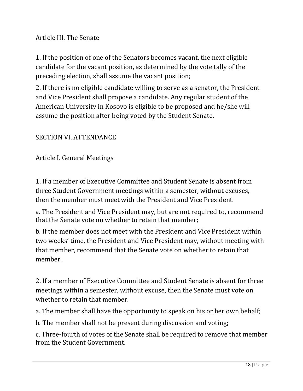Article III. The Senate

1. If the position of one of the Senators becomes vacant, the next eligible candidate for the vacant position, as determined by the vote tally of the preceding election, shall assume the vacant position;

2. If there is no eligible candidate willing to serve as a senator, the President and Vice President shall propose a candidate. Any regular student of the American University in Kosovo is eligible to be proposed and he/she will assume the position after being voted by the Student Senate.

#### SECTION VI. ATTENDANCE

Article I. General Meetings

1. If a member of Executive Committee and Student Senate is absent from three Student Government meetings within a semester, without excuses, then the member must meet with the President and Vice President.

a. The President and Vice President may, but are not required to, recommend that the Senate vote on whether to retain that member;

b. If the member does not meet with the President and Vice President within two weeks' time, the President and Vice President may, without meeting with that member, recommend that the Senate vote on whether to retain that member.

2. If a member of Executive Committee and Student Senate is absent for three meetings within a semester, without excuse, then the Senate must vote on whether to retain that member.

a. The member shall have the opportunity to speak on his or her own behalf;

b. The member shall not be present during discussion and voting;

c. Three-fourth of votes of the Senate shall be required to remove that member from the Student Government.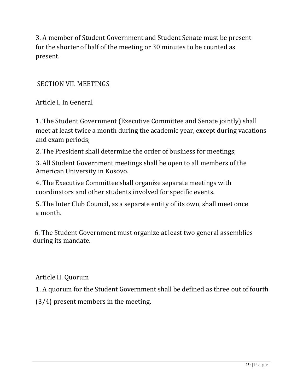3. A member of Student Government and Student Senate must be present for the shorter of half of the meeting or 30 minutes to be counted as present.

#### SECTION VII. MEETINGS

Article I. In General

1. The Student Government (Executive Committee and Senate jointly) shall meet at least twice a month during the academic year, except during vacations and exam periods;

2. The President shall determine the order of business for meetings;

3. All Student Government meetings shall be open to all members of the American University in Kosovo.

4. The Executive Committee shall organize separate meetings with coordinators and other students involved for specific events.

5. The Inter Club Council, as a separate entity of its own, shall meet once a month.

6. The Student Government must organize at least two general assemblies during its mandate.

Article II. Quorum

1. A quorum for the Student Government shall be defined as three out of fourth

(3/4) present members in the meeting.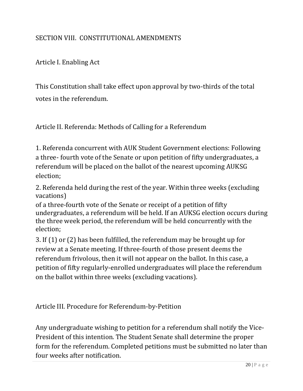### SECTION VIII. CONSTITUTIONAL AMENDMENTS

Article I. Enabling Act

This Constitution shall take effect upon approval by two-thirds of the total votes in the referendum.

Article II. Referenda: Methods of Calling for a Referendum

1. Referenda concurrent with AUK Student Government elections: Following a three- fourth vote of the Senate or upon petition of fifty undergraduates, a referendum will be placed on the ballot of the nearest upcoming AUKSG election;

2. Referenda held during the rest of the year. Within three weeks (excluding vacations)

of a three-fourth vote of the Senate or receipt of a petition of fifty undergraduates, a referendum will be held. If an AUKSG election occurs during the three week period, the referendum will be held concurrently with the election;

3. If (1) or (2) has been fulfilled, the referendum may be brought up for review at a Senate meeting. If three-fourth of those present deems the referendum frivolous, then it will not appear on the ballot. In this case, a petition of fifty regularly-enrolled undergraduates will place the referendum on the ballot within three weeks (excluding vacations).

Article III. Procedure for Referendum-by-Petition

Any undergraduate wishing to petition for a referendum shall notify the Vice-President of this intention. The Student Senate shall determine the proper form for the referendum. Completed petitions must be submitted no later than four weeks after notification.